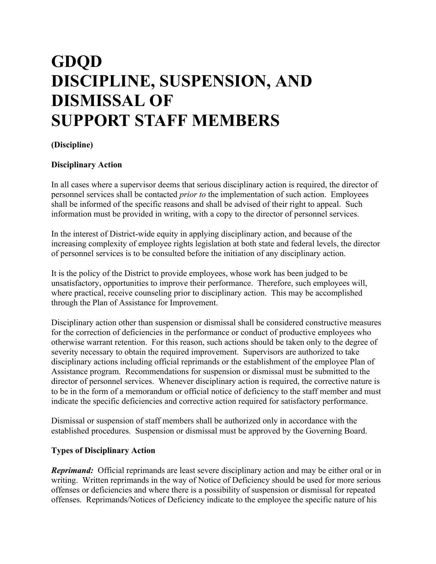# **GDQD DISCIPLINE, SUSPENSION, AND DISMISSAL OF SUPPORT STAFF MEMBERS**

## **(Discipline)**

#### **Disciplinary Action**

In all cases where a supervisor deems that serious disciplinary action is required, the director of personnel services shall be contacted *prior to* the implementation of such action. Employees shall be informed of the specific reasons and shall be advised of their right to appeal. Such information must be provided in writing, with a copy to the director of personnel services.

In the interest of District-wide equity in applying disciplinary action, and because of the increasing complexity of employee rights legislation at both state and federal levels, the director of personnel services is to be consulted before the initiation of any disciplinary action.

It is the policy of the District to provide employees, whose work has been judged to be unsatisfactory, opportunities to improve their performance. Therefore, such employees will, where practical, receive counseling prior to disciplinary action. This may be accomplished through the Plan of Assistance for Improvement.

Disciplinary action other than suspension or dismissal shall be considered constructive measures for the correction of deficiencies in the performance or conduct of productive employees who otherwise warrant retention. For this reason, such actions should be taken only to the degree of severity necessary to obtain the required improvement. Supervisors are authorized to take disciplinary actions including official reprimands or the establishment of the employee Plan of Assistance program. Recommendations for suspension or dismissal must be submitted to the director of personnel services. Whenever disciplinary action is required, the corrective nature is to be in the form of a memorandum or official notice of deficiency to the staff member and must indicate the specific deficiencies and corrective action required for satisfactory performance.

Dismissal or suspension of staff members shall be authorized only in accordance with the established procedures. Suspension or dismissal must be approved by the Governing Board.

#### **Types of Disciplinary Action**

*Reprimand:* Official reprimands are least severe disciplinary action and may be either oral or in writing. Written reprimands in the way of Notice of Deficiency should be used for more serious offenses or deficiencies and where there is a possibility of suspension or dismissal for repeated offenses. Reprimands/Notices of Deficiency indicate to the employee the specific nature of his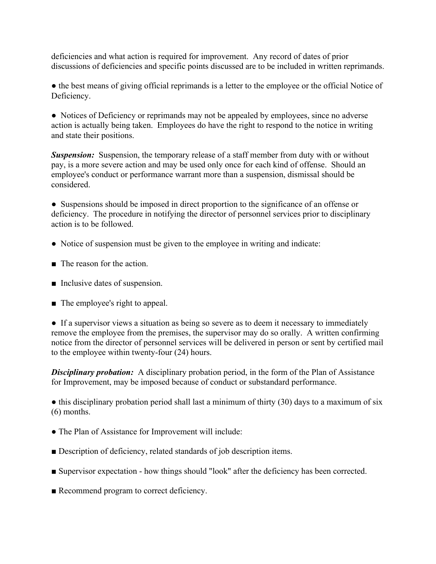deficiencies and what action is required for improvement. Any record of dates of prior discussions of deficiencies and specific points discussed are to be included in written reprimands.

• the best means of giving official reprimands is a letter to the employee or the official Notice of Deficiency.

• Notices of Deficiency or reprimands may not be appealed by employees, since no adverse action is actually being taken. Employees do have the right to respond to the notice in writing and state their positions.

**Suspension:** Suspension, the temporary release of a staff member from duty with or without pay, is a more severe action and may be used only once for each kind of offense. Should an employee's conduct or performance warrant more than a suspension, dismissal should be considered.

● Suspensions should be imposed in direct proportion to the significance of an offense or deficiency. The procedure in notifying the director of personnel services prior to disciplinary action is to be followed.

- Notice of suspension must be given to the employee in writing and indicate:
- The reason for the action.
- Inclusive dates of suspension.
- The employee's right to appeal.

• If a supervisor views a situation as being so severe as to deem it necessary to immediately remove the employee from the premises, the supervisor may do so orally. A written confirming notice from the director of personnel services will be delivered in person or sent by certified mail to the employee within twenty-four (24) hours.

**Disciplinary probation:** A disciplinary probation period, in the form of the Plan of Assistance for Improvement, may be imposed because of conduct or substandard performance.

• this disciplinary probation period shall last a minimum of thirty (30) days to a maximum of six (6) months.

- The Plan of Assistance for Improvement will include:
- Description of deficiency, related standards of job description items.
- Supervisor expectation how things should "look" after the deficiency has been corrected.
- Recommend program to correct deficiency.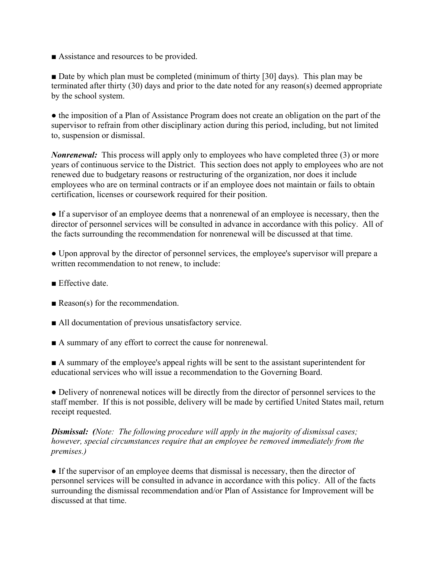■ Assistance and resources to be provided.

■ Date by which plan must be completed (minimum of thirty [30] days). This plan may be terminated after thirty (30) days and prior to the date noted for any reason(s) deemed appropriate by the school system.

● the imposition of a Plan of Assistance Program does not create an obligation on the part of the supervisor to refrain from other disciplinary action during this period, including, but not limited to, suspension or dismissal.

*Nonrenewal:* This process will apply only to employees who have completed three (3) or more years of continuous service to the District. This section does not apply to employees who are not renewed due to budgetary reasons or restructuring of the organization, nor does it include employees who are on terminal contracts or if an employee does not maintain or fails to obtain certification, licenses or coursework required for their position.

● If a supervisor of an employee deems that a nonrenewal of an employee is necessary, then the director of personnel services will be consulted in advance in accordance with this policy. All of the facts surrounding the recommendation for nonrenewal will be discussed at that time.

● Upon approval by the director of personnel services, the employee's supervisor will prepare a written recommendation to not renew, to include:

- Effective date
- Reason(s) for the recommendation.
- All documentation of previous unsatisfactory service.
- A summary of any effort to correct the cause for nonrenewal.

■ A summary of the employee's appeal rights will be sent to the assistant superintendent for educational services who will issue a recommendation to the Governing Board.

• Delivery of nonrenewal notices will be directly from the director of personnel services to the staff member. If this is not possible, delivery will be made by certified United States mail, return receipt requested.

### *Dismissal: (Note: The following procedure will apply in the majority of dismissal cases; however, special circumstances require that an employee be removed immediately from the premises.)*

• If the supervisor of an employee deems that dismissal is necessary, then the director of personnel services will be consulted in advance in accordance with this policy. All of the facts surrounding the dismissal recommendation and/or Plan of Assistance for Improvement will be discussed at that time.